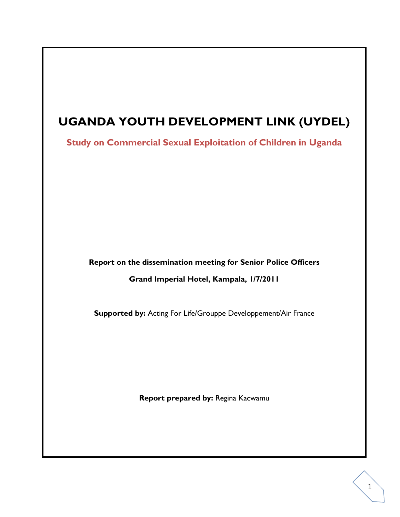# **UGANDA YOUTH DEVELOPMENT LINK (UYDEL)**

**Study on Commercial Sexual Exploitation of Children in Uganda**

**Report on the dissemination meeting for Senior Police Officers**

**Grand Imperial Hotel, Kampala, 1/7/2011**

**Supported by:** Acting For Life/Grouppe Developpement/Air France

**Report prepared by:** Regina Kacwamu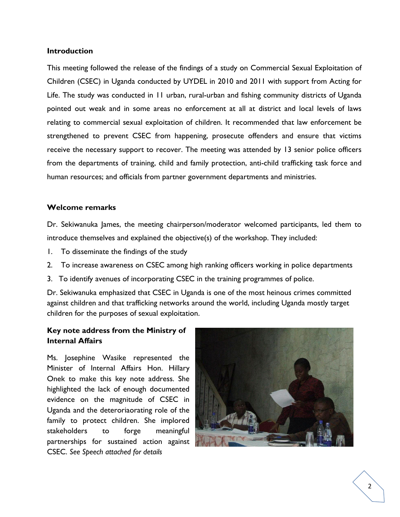#### **Introduction**

This meeting followed the release of the findings of a study on Commercial Sexual Exploitation of Children (CSEC) in Uganda conducted by UYDEL in 2010 and 2011 with support from Acting for Life. The study was conducted in 11 urban, rural-urban and fishing community districts of Uganda pointed out weak and in some areas no enforcement at all at district and local levels of laws relating to commercial sexual exploitation of children. It recommended that law enforcement be strengthened to prevent CSEC from happening, prosecute offenders and ensure that victims receive the necessary support to recover. The meeting was attended by 13 senior police officers from the departments of training, child and family protection, anti-child trafficking task force and human resources; and officials from partner government departments and ministries.

### **Welcome remarks**

Dr. Sekiwanuka James, the meeting chairperson/moderator welcomed participants, led them to introduce themselves and explained the objective(s) of the workshop. They included:

- 1. To disseminate the findings of the study
- 2. To increase awareness on CSEC among high ranking officers working in police departments
- 3. To identify avenues of incorporating CSEC in the training programmes of police.

Dr. Sekiwanuka emphasized that CSEC in Uganda is one of the most heinous crimes committed against children and that trafficking networks around the world, including Uganda mostly target children for the purposes of sexual exploitation.

# **Key note address from the Ministry of Internal Affairs**

Ms. Josephine Wasike represented the Minister of Internal Affairs Hon. Hillary Onek to make this key note address. She highlighted the lack of enough documented evidence on the magnitude of CSEC in Uganda and the deteroriaorating role of the family to protect children. She implored stakeholders to forge meaningful partnerships for sustained action against CSEC. *See Speech attached for details*

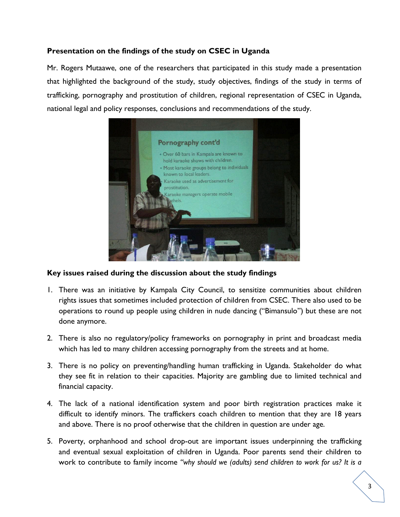# **Presentation on the findings of the study on CSEC in Uganda**

Mr. Rogers Mutaawe, one of the researchers that participated in this study made a presentation that highlighted the background of the study, study objectives, findings of the study in terms of trafficking, pornography and prostitution of children, regional representation of CSEC in Uganda, national legal and policy responses, conclusions and recommendations of the study.



#### **Key issues raised during the discussion about the study findings**

- 1. There was an initiative by Kampala City Council, to sensitize communities about children rights issues that sometimes included protection of children from CSEC. There also used to be operations to round up people using children in nude dancing ("Bimansulo") but these are not done anymore.
- 2. There is also no regulatory/policy frameworks on pornography in print and broadcast media which has led to many children accessing pornography from the streets and at home.
- 3. There is no policy on preventing/handling human trafficking in Uganda. Stakeholder do what they see fit in relation to their capacities. Majority are gambling due to limited technical and financial capacity.
- 4. The lack of a national identification system and poor birth registration practices make it difficult to identify minors. The traffickers coach children to mention that they are 18 years and above. There is no proof otherwise that the children in question are under age.
- 5. Poverty, orphanhood and school drop-out are important issues underpinning the trafficking and eventual sexual exploitation of children in Uganda. Poor parents send their children to work to contribute to family income *"why should we (adults) send children to work for us? It is a*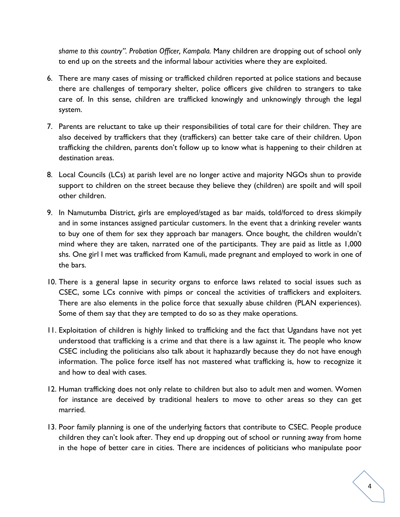*shame to this country". Probation Officer, Kampala.* Many children are dropping out of school only to end up on the streets and the informal labour activities where they are exploited.

- 6. There are many cases of missing or trafficked children reported at police stations and because there are challenges of temporary shelter, police officers give children to strangers to take care of. In this sense, children are trafficked knowingly and unknowingly through the legal system.
- 7. Parents are reluctant to take up their responsibilities of total care for their children. They are also deceived by traffickers that they (traffickers) can better take care of their children. Upon trafficking the children, parents don't follow up to know what is happening to their children at destination areas.
- 8. Local Councils (LCs) at parish level are no longer active and majority NGOs shun to provide support to children on the street because they believe they (children) are spoilt and will spoil other children.
- 9. In Namutumba District, girls are employed/staged as bar maids, told/forced to dress skimpily and in some instances assigned particular customers. In the event that a drinking reveler wants to buy one of them for sex they approach bar managers. Once bought, the children wouldn't mind where they are taken, narrated one of the participants. They are paid as little as 1,000 shs. One girl I met was trafficked from Kamuli, made pregnant and employed to work in one of the bars.
- 10. There is a general lapse in security organs to enforce laws related to social issues such as CSEC, some LCs connive with pimps or conceal the activities of traffickers and exploiters. There are also elements in the police force that sexually abuse children (PLAN experiences). Some of them say that they are tempted to do so as they make operations.
- 11. Exploitation of children is highly linked to trafficking and the fact that Ugandans have not yet understood that trafficking is a crime and that there is a law against it. The people who know CSEC including the politicians also talk about it haphazardly because they do not have enough information. The police force itself has not mastered what trafficking is, how to recognize it and how to deal with cases.
- 12. Human trafficking does not only relate to children but also to adult men and women. Women for instance are deceived by traditional healers to move to other areas so they can get married.
- 13. Poor family planning is one of the underlying factors that contribute to CSEC. People produce children they can't look after. They end up dropping out of school or running away from home in the hope of better care in cities. There are incidences of politicians who manipulate poor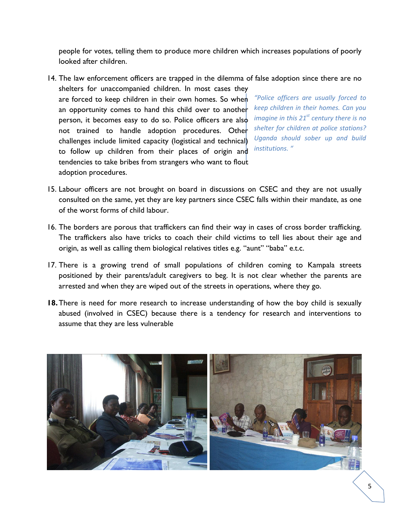people for votes, telling them to produce more children which increases populations of poorly looked after children.

- *"Police officers are usually forced to keep children in their homes. Can you imagine in this 21st century there is no shelter for children at police stations? Uganda should sober up and build institutions. "* 14. The law enforcement officers are trapped in the dilemma of false adoption since there are no shelters for unaccompanied children. In most cases they are forced to keep children in their own homes. So when an opportunity comes to hand this child over to another person, it becomes easy to do so. Police officers are also not trained to handle adoption procedures. Other challenges include limited capacity (logistical and technical) to follow up children from their places of origin and tendencies to take bribes from strangers who want to flout adoption procedures.
- 15. Labour officers are not brought on board in discussions on CSEC and they are not usually consulted on the same, yet they are key partners since CSEC falls within their mandate, as one of the worst forms of child labour.
- 16. The borders are porous that traffickers can find their way in cases of cross border trafficking. The traffickers also have tricks to coach their child victims to tell lies about their age and origin, as well as calling them biological relatives titles e.g. "aunt" "baba" e.t.c.
- 17. There is a growing trend of small populations of children coming to Kampala streets positioned by their parents/adult caregivers to beg. It is not clear whether the parents are arrested and when they are wiped out of the streets in operations, where they go.
- **18.**There is need for more research to increase understanding of how the boy child is sexually abused (involved in CSEC) because there is a tendency for research and interventions to assume that they are less vulnerable

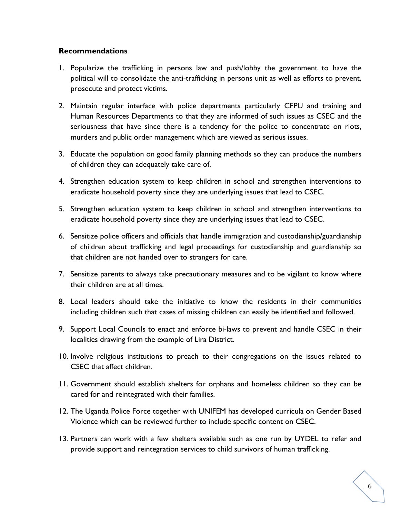## **Recommendations**

- 1. Popularize the trafficking in persons law and push/lobby the government to have the political will to consolidate the anti-trafficking in persons unit as well as efforts to prevent, prosecute and protect victims.
- 2. Maintain regular interface with police departments particularly CFPU and training and Human Resources Departments to that they are informed of such issues as CSEC and the seriousness that have since there is a tendency for the police to concentrate on riots, murders and public order management which are viewed as serious issues.
- 3. Educate the population on good family planning methods so they can produce the numbers of children they can adequately take care of.
- 4. Strengthen education system to keep children in school and strengthen interventions to eradicate household poverty since they are underlying issues that lead to CSEC.
- 5. Strengthen education system to keep children in school and strengthen interventions to eradicate household poverty since they are underlying issues that lead to CSEC.
- 6. Sensitize police officers and officials that handle immigration and custodianship/guardianship of children about trafficking and legal proceedings for custodianship and guardianship so that children are not handed over to strangers for care.
- 7. Sensitize parents to always take precautionary measures and to be vigilant to know where their children are at all times.
- 8. Local leaders should take the initiative to know the residents in their communities including children such that cases of missing children can easily be identified and followed.
- 9. Support Local Councils to enact and enforce bi-laws to prevent and handle CSEC in their localities drawing from the example of Lira District.
- 10. Involve religious institutions to preach to their congregations on the issues related to CSEC that affect children.
- 11. Government should establish shelters for orphans and homeless children so they can be cared for and reintegrated with their families.
- 12. The Uganda Police Force together with UNIFEM has developed curricula on Gender Based Violence which can be reviewed further to include specific content on CSEC.
- 13. Partners can work with a few shelters available such as one run by UYDEL to refer and provide support and reintegration services to child survivors of human trafficking.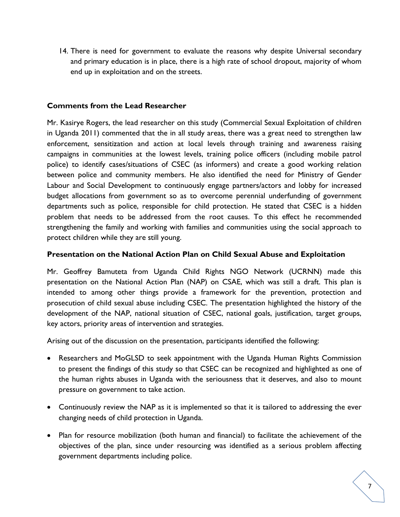14. There is need for government to evaluate the reasons why despite Universal secondary and primary education is in place, there is a high rate of school dropout, majority of whom end up in exploitation and on the streets.

## **Comments from the Lead Researcher**

Mr. Kasirye Rogers, the lead researcher on this study (Commercial Sexual Exploitation of children in Uganda 2011) commented that the in all study areas, there was a great need to strengthen law enforcement, sensitization and action at local levels through training and awareness raising campaigns in communities at the lowest levels, training police officers (including mobile patrol police) to identify cases/situations of CSEC (as informers) and create a good working relation between police and community members. He also identified the need for Ministry of Gender Labour and Social Development to continuously engage partners/actors and lobby for increased budget allocations from government so as to overcome perennial underfunding of government departments such as police, responsible for child protection. He stated that CSEC is a hidden problem that needs to be addressed from the root causes. To this effect he recommended strengthening the family and working with families and communities using the social approach to protect children while they are still young.

#### **Presentation on the National Action Plan on Child Sexual Abuse and Exploitation**

Mr. Geoffrey Bamuteta from Uganda Child Rights NGO Network (UCRNN) made this presentation on the National Action Plan (NAP) on CSAE, which was still a draft. This plan is intended to among other things provide a framework for the prevention, protection and prosecution of child sexual abuse including CSEC. The presentation highlighted the history of the development of the NAP, national situation of CSEC, national goals, justification, target groups, key actors, priority areas of intervention and strategies.

Arising out of the discussion on the presentation, participants identified the following:

- Researchers and MoGLSD to seek appointment with the Uganda Human Rights Commission to present the findings of this study so that CSEC can be recognized and highlighted as one of the human rights abuses in Uganda with the seriousness that it deserves, and also to mount pressure on government to take action.
- Continuously review the NAP as it is implemented so that it is tailored to addressing the ever changing needs of child protection in Uganda.
- Plan for resource mobilization (both human and financial) to facilitate the achievement of the objectives of the plan, since under resourcing was identified as a serious problem affecting government departments including police.